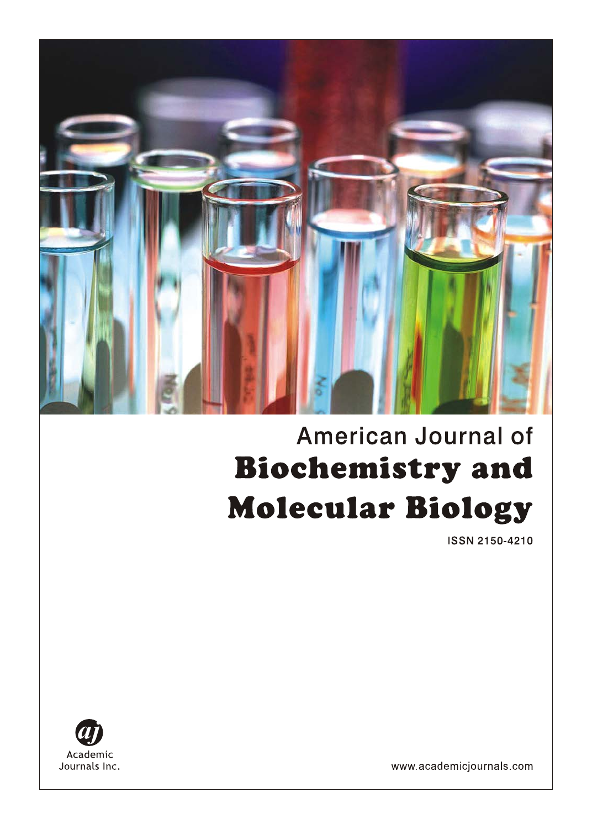

# **American Journal of Biochemistry and Molecular Biology**

**ISSN 2150-4210** 



www.academicjournals.com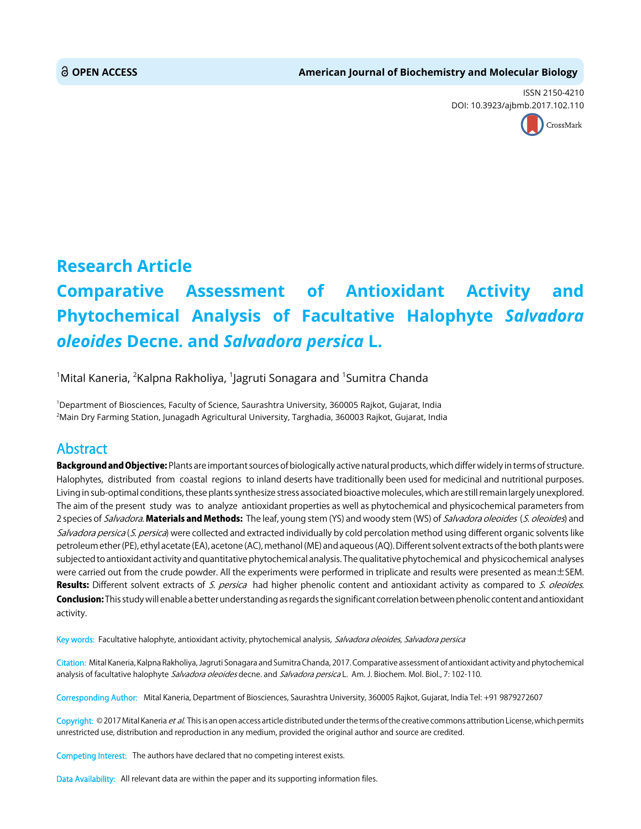ISSN 2150-4210 DOI: 10.3923/ajbmb.2017.102.110



## **Research Article**

# **Comparative Assessment of Antioxidant Activity and Phytochemical Analysis of Facultative Halophyte** *Salvadora oleoides* **Decne. and** *Salvadora persica* **L.**

 $^{\rm 1}$ Mital Kaneria,  $^{\rm 2}$ Kalpna Rakholiya,  $^{\rm 1}$ Jagruti Sonagara and  $^{\rm 1}$ Sumitra Chanda

1 Department of Biosciences, Faculty of Science, Saurashtra University, 360005 Rajkot, Gujarat, India 2 Main Dry Farming Station, Junagadh Agricultural University, Targhadia, 360003 Rajkot, Gujarat, India

### Abstract

Background and Objective: Plants are important sources of biologically active natural products, which differ widely in terms of structure. Halophytes, distributed from coastal regions to inland deserts have traditionally been used for medicinal and nutritional purposes. Living in sub-optimal conditions, these plants synthesize stress associated bioactive molecules, which are still remain largely unexplored. The aim of the present study was to analyze antioxidant properties as well as phytochemical and physicochemical parameters from 2 species of Salvadora. Materials and Methods: The leaf, young stem (YS) and woody stem (WS) of Salvadora oleoides (S. oleoides) and Salvadora persica (S. persica) were collected and extracted individually by cold percolation method using different organic solvents like petroleum ether (PE), ethyl acetate (EA), acetone (AC), methanol (ME) and aqueous (AQ). Different solvent extracts of the both plants were subjected to antioxidant activity and quantitative phytochemical analysis. The qualitative phytochemical and physicochemical analyses were carried out from the crude powder. All the experiments were performed in triplicate and results were presented as mean $\pm$ SEM. Results: Different solvent extracts of S. persica had higher phenolic content and antioxidant activity as compared to S. oleoides. Conclusion: This study will enable a better understanding as regards the significant correlation between phenolic content and antioxidant activity.

Key words: Facultative halophyte, antioxidant activity, phytochemical analysis, Salvadora oleoides, Salvadora persica

Citation: Mital Kaneria, Kalpna Rakholiya, Jagruti Sonagara and Sumitra Chanda, 2017. Comparative assessment of antioxidant activity and phytochemical analysis of facultative halophyte Salvadora oleoides decne. and Salvadora persica L. Am. J. Biochem. Mol. Biol., 7: 102-110.

Corresponding Author: Mital Kaneria, Department of Biosciences, Saurashtra University, 360005 Rajkot, Gujarat, India Tel: +91 9879272607

Copyright: © 2017 Mital Kaneria et al. This is an open access article distributed under the terms of the creative commons attribution License, which permits unrestricted use, distribution and reproduction in any medium, provided the original author and source are credited.

Competing Interest: The authors have declared that no competing interest exists.

Data Availability: All relevant data are within the paper and its supporting information files.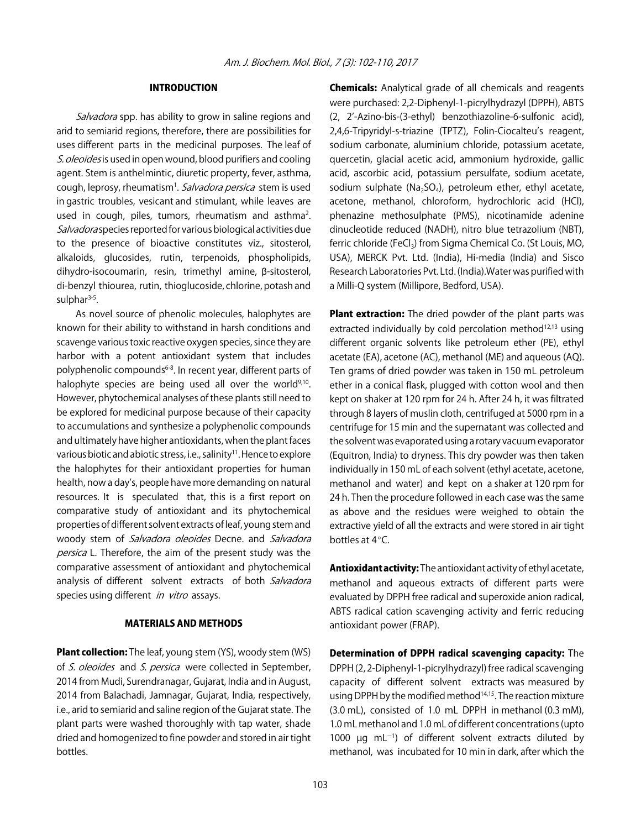#### INTRODUCTION

Salvadora spp. has ability to grow in saline regions and arid to semiarid regions, therefore, there are possibilities for uses different parts in the medicinal purposes. The leaf of S. oleoides is used in open wound, blood purifiers and cooling agent. Stem is anthelmintic, diuretic property, fever, asthma, cough, leprosy, rheumatism<sup>1</sup>. Salvadora persica stem is used in gastric troubles, vesicant and stimulant, while leaves are used in cough, piles, tumors, rheumatism and asthma<sup>2</sup>. Salvadora species reported for various biological activities due to the presence of bioactive constitutes viz., sitosterol, alkaloids, glucosides, rutin, terpenoids, phospholipids, dihydro-isocoumarin, resin, trimethyl amine, β-sitosterol, di-benzyl thiourea, rutin, thioglucoside, chlorine, potash and sulphar $3-5$ .

As novel source of phenolic molecules, halophytes are known for their ability to withstand in harsh conditions and scavenge various toxic reactive oxygen species, since they are harbor with a potent antioxidant system that includes polyphenolic compounds<sup>6-8</sup>. In recent year, different parts of halophyte species are being used all over the world<sup>9,10</sup>. However, phytochemical analyses of these plants still need to be explored for medicinal purpose because of their capacity to accumulations and synthesize a polyphenolic compounds and ultimately have higher antioxidants, when the plant faces various biotic and abiotic stress, i.e., salinity<sup>11</sup>. Hence to explore the halophytes for their antioxidant properties for human health, now a day's, people have more demanding on natural resources. It is speculated that, this is a first report on comparative study of antioxidant and its phytochemical properties of different solvent extracts of leaf, young stem and woody stem of Salvadora oleoides Decne. and Salvadora persica L. Therefore, the aim of the present study was the comparative assessment of antioxidant and phytochemical analysis of different solvent extracts of both Salvadora species using different in vitro assays.

#### MATERIALS AND METHODS

**Plant collection:** The leaf, young stem (YS), woody stem (WS) of S. oleoides and S. persica were collected in September, 2014 from Mudi, Surendranagar, Gujarat, India and in August, 2014 from Balachadi, Jamnagar, Gujarat, India, respectively, i.e., arid to semiarid and saline region of the Gujarat state. The plant parts were washed thoroughly with tap water, shade dried and homogenized to fine powder and stored in air tight bottles.

Chemicals: Analytical grade of all chemicals and reagents were purchased: 2,2-Diphenyl-1-picrylhydrazyl (DPPH), ABTS (2, 2'-Azino-bis-(3-ethyl) benzothiazoline-6-sulfonic acid), 2,4,6-Tripyridyl-s-triazine (TPTZ), Folin-Ciocalteu's reagent, sodium carbonate, aluminium chloride, potassium acetate, quercetin, glacial acetic acid, ammonium hydroxide, gallic acid, ascorbic acid, potassium persulfate, sodium acetate, sodium sulphate (Na<sub>2</sub>SO<sub>4</sub>), petroleum ether, ethyl acetate, acetone, methanol, chloroform, hydrochloric acid (HCl), phenazine methosulphate (PMS), nicotinamide adenine dinucleotide reduced (NADH), nitro blue tetrazolium (NBT), ferric chloride (FeCl<sub>3</sub>) from Sigma Chemical Co. (St Louis, MO, USA), MERCK Pvt. Ltd. (India), Hi-media (India) and Sisco Research Laboratories Pvt. Ltd. (India).Water was purified with a Milli-Q system (Millipore, Bedford, USA).

Plant extraction: The dried powder of the plant parts was extracted individually by cold percolation method $12,13$  using different organic solvents like petroleum ether (PE), ethyl acetate (EA), acetone (AC), methanol (ME) and aqueous (AQ). Ten grams of dried powder was taken in 150 mL petroleum ether in a conical flask, plugged with cotton wool and then kept on shaker at 120 rpm for 24 h. After 24 h, it was filtrated through 8 layers of muslin cloth, centrifuged at 5000 rpm in a centrifuge for 15 min and the supernatant was collected and the solvent was evaporated using a rotary vacuum evaporator (Equitron, India) to dryness. This dry powder was then taken individually in 150 mL of each solvent (ethyl acetate, acetone, methanol and water) and kept on a shaker at 120 rpm for 24 h. Then the procedure followed in each case was the same as above and the residues were weighed to obtain the extractive yield of all the extracts and were stored in air tight bottles at  $4^{\circ}$ C.

Antioxidant activity: The antioxidant activity of ethyl acetate, methanol and aqueous extracts of different parts were evaluated by DPPH free radical and superoxide anion radical, ABTS radical cation scavenging activity and ferric reducing antioxidant power (FRAP).

Determination of DPPH radical scavenging capacity: The DPPH (2, 2-Diphenyl-1-picrylhydrazyl) free radical scavenging capacity of different solvent extracts was measured by using DPPH by the modified method<sup>14,15</sup>. The reaction mixture (3.0 mL), consisted of 1.0 mL DPPH in methanol (0.3 mM), 1.0 mL methanol and 1.0 mL of different concentrations (upto 1000  $\mu$ g mL<sup>-1</sup>) of different solvent extracts diluted by methanol, was incubated for 10 min in dark, after which the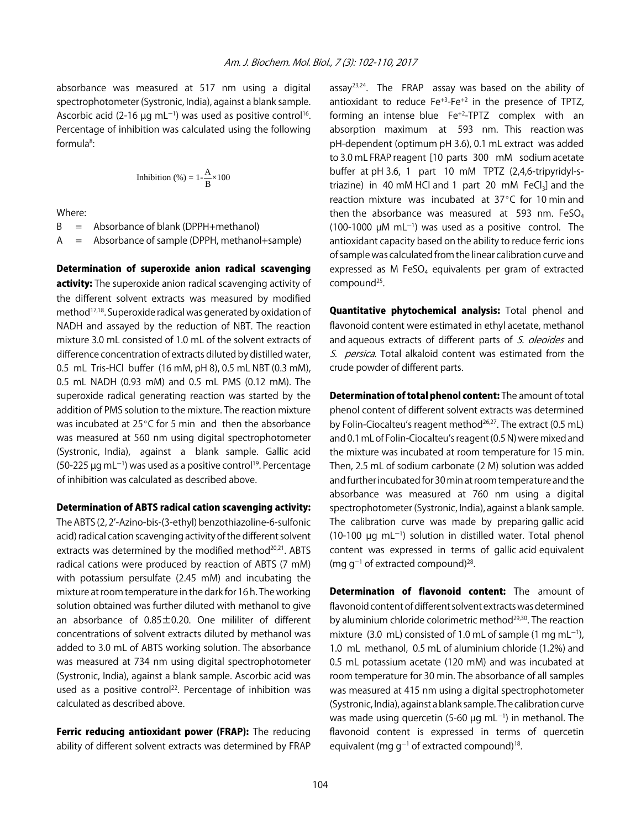absorbance was measured at 517 nm using a digital spectrophotometer (Systronic, India), against a blank sample. Ascorbic acid (2-16  $\mu$ g mL<sup>-1</sup>) was used as positive control<sup>16</sup>. Percentage of inhibition was calculated using the following formula<sup>8</sup>:

Inhibition (%) = 
$$
1 - \frac{A}{B} \times 100
$$

Where:

 $B =$  Absorbance of blank (DPPH+methanol)

A = Absorbance of sample (DPPH, methanol+sample)

Determination of superoxide anion radical scavenging activity: The superoxide anion radical scavenging activity of the different solvent extracts was measured by modified method17,18. Superoxide radical was generated by oxidation of NADH and assayed by the reduction of NBT. The reaction mixture 3.0 mL consisted of 1.0 mL of the solvent extracts of difference concentration of extracts diluted by distilled water, 0.5 mL Tris-HCl buffer (16 mM, pH 8), 0.5 mL NBT (0.3 mM), 0.5 mL NADH (0.93 mM) and 0.5 mL PMS (0.12 mM). The superoxide radical generating reaction was started by the addition of PMS solution to the mixture. The reaction mixture was incubated at  $25^{\circ}$ C for 5 min and then the absorbance was measured at 560 nm using digital spectrophotometer (Systronic, India), against a blank sample. Gallic acid (50-225  $\mu$ g mL<sup>-1</sup>) was used as a positive control<sup>19</sup>. Percentage of inhibition was calculated as described above.

#### Determination of ABTS radical cation scavenging activity:

The ABTS (2, 2'-Azino-bis-(3-ethyl) benzothiazoline-6-sulfonic acid) radical cation scavenging activity of the different solvent extracts was determined by the modified method<sup>20,21</sup>. ABTS radical cations were produced by reaction of ABTS (7 mM) with potassium persulfate (2.45 mM) and incubating the mixture at room temperature in the dark for 16 h. The working solution obtained was further diluted with methanol to give an absorbance of 0.85±0.20. One mililiter of different concentrations of solvent extracts diluted by methanol was added to 3.0 mL of ABTS working solution. The absorbance was measured at 734 nm using digital spectrophotometer (Systronic, India), against a blank sample. Ascorbic acid was used as a positive control<sup>22</sup>. Percentage of inhibition was calculated as described above.

Ferric reducing antioxidant power (FRAP): The reducing ability of different solvent extracts was determined by FRAP assay<sup>23,24</sup>. The FRAP assay was based on the ability of antioxidant to reduce  $Fe^{+3}$ - $Fe^{+2}$  in the presence of TPTZ, forming an intense blue Fe+2-TPTZ complex with an absorption maximum at 593 nm. This reaction was pH-dependent (optimum pH 3.6), 0.1 mL extract was added to 3.0 mL FRAP reagent [10 parts 300 mM sodium acetate buffer at pH 3.6, 1 part 10 mM TPTZ (2,4,6-tripyridyl-striazine) in 40 mM HCl and 1 part 20 mM  $FeCl<sub>3</sub>$ ] and the reaction mixture was incubated at  $37^{\circ}$ C for 10 min and then the absorbance was measured at 593 nm.  $FeSO<sub>4</sub>$  $(100-1000 \mu M \text{ mL}^{-1})$  was used as a positive control. The antioxidant capacity based on the ability to reduce ferric ions of sample was calculated from the linear calibration curve and expressed as M FeSO<sub>4</sub> equivalents per gram of extracted compound<sup>25</sup>.

Quantitative phytochemical analysis: Total phenol and flavonoid content were estimated in ethyl acetate, methanol and aqueous extracts of different parts of S. oleoides and S. persica. Total alkaloid content was estimated from the crude powder of different parts.

Determination of total phenol content: The amount of total phenol content of different solvent extracts was determined by Folin-Ciocalteu's reagent method<sup>26,27</sup>. The extract (0.5 mL) and 0.1 mL of Folin-Ciocalteu's reagent (0.5 N) were mixed and the mixture was incubated at room temperature for 15 min. Then, 2.5 mL of sodium carbonate (2 M) solution was added and further incubated for 30 min at room temperature and the absorbance was measured at 760 nm using a digital spectrophotometer (Systronic, India), against a blank sample. The calibration curve was made by preparing gallic acid  $(10-100 \text{ µg} \text{ mL}^{-1})$  solution in distilled water. Total phenol content was expressed in terms of gallic acid equivalent (mg  $g^{-1}$  of extracted compound)<sup>28</sup>.

**Determination of flavonoid content:** The amount of flavonoid content of different solvent extracts was determined by aluminium chloride colorimetric method<sup>29,30</sup>. The reaction mixture (3.0 mL) consisted of 1.0 mL of sample (1 mg mL $^{-1}$ ), 1.0 mL methanol, 0.5 mL of aluminium chloride (1.2%) and 0.5 mL potassium acetate (120 mM) and was incubated at room temperature for 30 min. The absorbance of all samples was measured at 415 nm using a digital spectrophotometer (Systronic, India), against a blank sample. The calibration curve was made using quercetin (5-60  $\mu$ g mL<sup>-1</sup>) in methanol. The flavonoid content is expressed in terms of quercetin equivalent (mg g $^{-1}$  of extracted compound)<sup>18</sup>.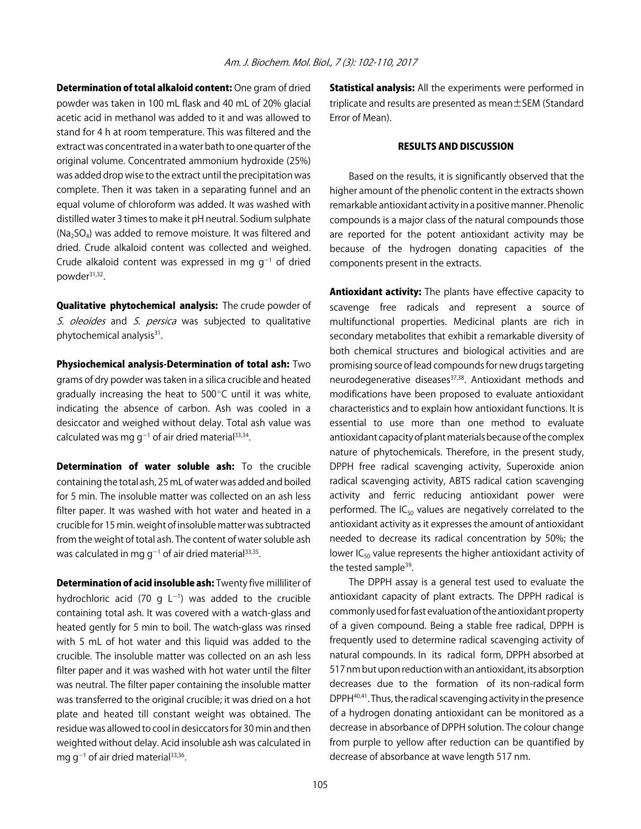Determination of total alkaloid content: One gram of dried powder was taken in 100 mL flask and 40 mL of 20% glacial acetic acid in methanol was added to it and was allowed to stand for 4 h at room temperature. This was filtered and the extract was concentrated in a water bath to one quarter of the original volume. Concentrated ammonium hydroxide (25%) was added drop wise to the extract until the precipitation was complete. Then it was taken in a separating funnel and an equal volume of chloroform was added. It was washed with distilled water 3 times to make it pH neutral. Sodium sulphate  $(Na<sub>2</sub>SO<sub>4</sub>)$  was added to remove moisture. It was filtered and dried. Crude alkaloid content was collected and weighed. Crude alkaloid content was expressed in mg  $g^{-1}$  of dried powder31,32.

Qualitative phytochemical analysis: The crude powder of S. oleoides and S. persica was subjected to qualitative phytochemical analysis<sup>31</sup>.

Physiochemical analysis-Determination of total ash: Two grams of dry powder was taken in a silica crucible and heated gradually increasing the heat to  $500^{\circ}$ C until it was white, indicating the absence of carbon. Ash was cooled in a desiccator and weighed without delay. Total ash value was calculated was mg  $g^{-1}$  of air dried material<sup>33,34</sup>.

Determination of water soluble ash: To the crucible containing the total ash, 25 mL of water was added and boiled for 5 min. The insoluble matter was collected on an ash less filter paper. It was washed with hot water and heated in a crucible for 15 min. weight of insoluble matter was subtracted from the weight of total ash. The content of water soluble ash was calculated in mg g<sup>-1</sup> of air dried material<sup>33,35</sup>.

**Determination of acid insoluble ash:** Twenty five milliliter of hydrochloric acid (70 g  $L^{-1}$ ) was added to the crucible containing total ash. It was covered with a watch-glass and heated gently for 5 min to boil. The watch-glass was rinsed with 5 mL of hot water and this liquid was added to the crucible. The insoluble matter was collected on an ash less filter paper and it was washed with hot water until the filter was neutral. The filter paper containing the insoluble matter was transferred to the original crucible; it was dried on a hot plate and heated till constant weight was obtained. The residue was allowed to cool in desiccators for 30 min and then weighted without delay. Acid insoluble ash was calculated in mg g<sup>-1</sup> of air dried material $^{33,36}$ .

**Statistical analysis:** All the experiments were performed in triplicate and results are presented as mean±SEM (Standard Error of Mean).

#### RESULTS AND DISCUSSION

Based on the results, it is significantly observed that the higher amount of the phenolic content in the extracts shown remarkable antioxidant activity in a positive manner. Phenolic compounds is a major class of the natural compounds those are reported for the potent antioxidant activity may be because of the hydrogen donating capacities of the components present in the extracts.

Antioxidant activity: The plants have effective capacity to scavenge free radicals and represent a source of multifunctional properties. Medicinal plants are rich in secondary metabolites that exhibit a remarkable diversity of both chemical structures and biological activities and are promising source of lead compounds for new drugs targeting neurodegenerative diseases<sup>37,38</sup>. Antioxidant methods and modifications have been proposed to evaluate antioxidant characteristics and to explain how antioxidant functions. It is essential to use more than one method to evaluate antioxidant capacity of plant materials because of the complex nature of phytochemicals. Therefore, in the present study, DPPH free radical scavenging activity, Superoxide anion radical scavenging activity, ABTS radical cation scavenging activity and ferric reducing antioxidant power were performed. The  $IC_{50}$  values are negatively correlated to the antioxidant activity as it expresses the amount of antioxidant needed to decrease its radical concentration by 50%; the lower  $IC_{50}$  value represents the higher antioxidant activity of the tested sample<sup>39</sup>.

The DPPH assay is a general test used to evaluate the antioxidant capacity of plant extracts. The DPPH radical is commonly used for fast evaluation of the antioxidant property of a given compound. Being a stable free radical, DPPH is frequently used to determine radical scavenging activity of natural compounds. In its radical form, DPPH absorbed at 517 nm but upon reduction with an antioxidant, its absorption decreases due to the formation of its non-radical form DPPH40,41. Thus, the radical scavenging activity in the presence of a hydrogen donating antioxidant can be monitored as a decrease in absorbance of DPPH solution. The colour change from purple to yellow after reduction can be quantified by decrease of absorbance at wave length 517 nm.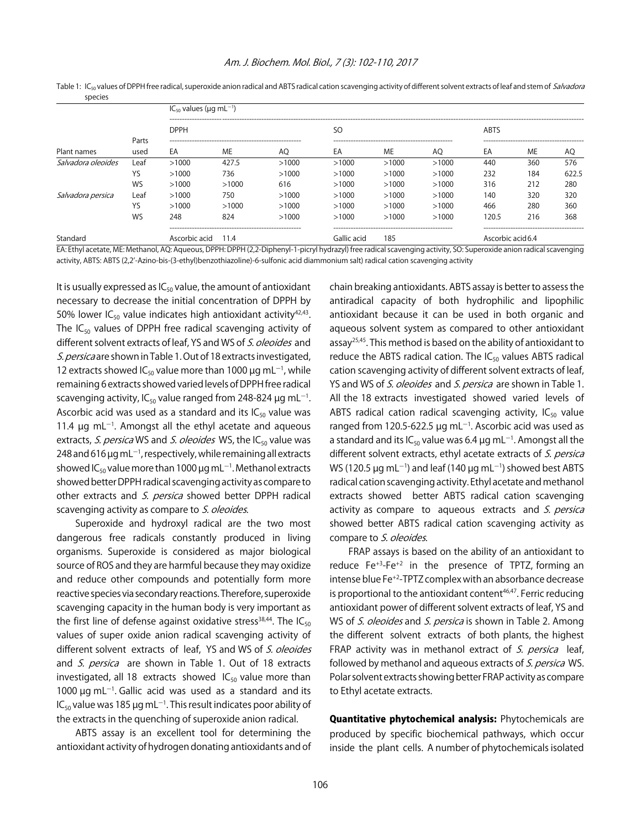| <b>Sheries</b><br>Plant names | Parts<br>used | $IC_{50}$ values ( $\mu$ g mL <sup>-1</sup> ) |       |             |                          |       |       |             |     |       |
|-------------------------------|---------------|-----------------------------------------------|-------|-------------|--------------------------|-------|-------|-------------|-----|-------|
|                               |               | <b>DPPH</b>                                   |       |             | SO.                      |       |       | <b>ABTS</b> |     |       |
|                               |               | EA                                            | ME    | AO          | EA                       | ME    | AO    | EA          | ME  | AQ    |
| Salvadora oleoides            | Leaf          | >1000                                         | 427.5 | >1000       | >1000                    | >1000 | >1000 | 440         | 360 | 576   |
|                               | YS            | >1000                                         | 736   | >1000       | >1000                    | >1000 | >1000 | 232         | 184 | 622.5 |
|                               | WS            | >1000                                         | >1000 | 616         | >1000                    | >1000 | >1000 | 316         | 212 | 280   |
| Salvadora persica             | Leaf          | >1000                                         | 750   | >1000       | >1000                    | >1000 | >1000 | 140         | 320 | 320   |
|                               | YS            | >1000                                         | >1000 | >1000       | >1000                    | >1000 | >1000 | 466         | 280 | 360   |
|                               | WS            | 248                                           | 824   | >1000       | >1000                    | >1000 | >1000 | 120.5       | 216 | 368   |
| Standard                      |               | Ascorbic acid 11.4                            |       | Gallic acid | Ascorbic acid 6.4<br>185 |       |       |             |     |       |

Table 1: IC<sub>50</sub> values of DPPH free radical, superoxide anion radical and ABTS radical cation scavenging activity of different solvent extracts of leaf and stem of Salvadora species

EA: Ethyl acetate, ME: Methanol, AQ: Aqueous, DPPH: DPPH (2,2-Diphenyl-1-picryl hydrazyl) free radical scavenging activity, SO: Superoxide anion radical scavenging activity, ABTS: ABTS (2,2'-Azino-bis-(3-ethyl)benzothiazoline)-6-sulfonic acid diammonium salt) radical cation scavenging activity

It is usually expressed as  $IC_{50}$  value, the amount of antioxidant necessary to decrease the initial concentration of DPPH by 50% lower  $IC_{50}$  value indicates high antioxidant activity<sup>42,43</sup>. The  $IC_{50}$  values of DPPH free radical scavenging activity of different solvent extracts of leaf, YS and WS of S. oleoides and S. persica are shown in Table 1. Out of 18 extracts investigated, 12 extracts showed IC<sub>50</sub> value more than 1000  $\mu$ g mL<sup>-1</sup>, while remaining 6 extracts showed varied levels of DPPH free radical scavenging activity, IC $_{50}$  value ranged from 248-824  $\mu$ g mL $^{-1}$ . Ascorbic acid was used as a standard and its  $IC_{50}$  value was 11.4  $\mu$ g mL<sup>-1</sup>. Amongst all the ethyl acetate and aqueous extracts, S. persica WS and S. oleoides WS, the  $IC_{50}$  value was 248 and 616  $\mu$ g mL $^{-1}$ , respectively, while remaining all extracts showed IC $_{50}$  value more than 1000  $\mu$ g mL $^{-1}$ . Methanol extracts showed better DPPH radical scavenging activity as compare to other extracts and S. persica showed better DPPH radical scavenging activity as compare to S. oleoides.

Superoxide and hydroxyl radical are the two most dangerous free radicals constantly produced in living organisms. Superoxide is considered as major biological source of ROS and they are harmful because they may oxidize and reduce other compounds and potentially form more reactive species via secondary reactions. Therefore, superoxide scavenging capacity in the human body is very important as the first line of defense against oxidative stress<sup>38,44</sup>. The  $IC_{50}$ values of super oxide anion radical scavenging activity of different solvent extracts of leaf, YS and WS of S. oleoides and S. persica are shown in Table 1. Out of 18 extracts investigated, all 18 extracts showed  $IC_{50}$  value more than 1000  $\mu$ g mL<sup>-1</sup>. Gallic acid was used as a standard and its IC<sub>50</sub> value was 185 µg mL<sup>-1</sup>. This result indicates poor ability of the extracts in the quenching of superoxide anion radical.

ABTS assay is an excellent tool for determining the antioxidant activity of hydrogen donating antioxidants and of chain breaking antioxidants. ABTS assay is better to assess the antiradical capacity of both hydrophilic and lipophilic antioxidant because it can be used in both organic and aqueous solvent system as compared to other antioxidant assay<sup>25,45</sup>. This method is based on the ability of antioxidant to reduce the ABTS radical cation. The  $IC_{50}$  values ABTS radical cation scavenging activity of different solvent extracts of leaf, YS and WS of S. oleoides and S. persica are shown in Table 1. All the 18 extracts investigated showed varied levels of ABTS radical cation radical scavenging activity,  $IC_{50}$  value ranged from 120.5-622.5  $\mu$ g mL<sup>-1</sup>. Ascorbic acid was used as a standard and its IC<sub>50</sub> value was 6.4  $\mu$ g mL<sup>-1</sup>. Amongst all the different solvent extracts, ethyl acetate extracts of S. persica WS (120.5  $\mu$ g mL<sup>-1</sup>) and leaf (140  $\mu$ g mL<sup>-1</sup>) showed best ABTS radical cation scavenging activity. Ethyl acetate and methanol extracts showed better ABTS radical cation scavenging activity as compare to aqueous extracts and S. persica showed better ABTS radical cation scavenging activity as compare to S. oleoides.

FRAP assays is based on the ability of an antioxidant to reduce Fe<sup>+3</sup>-Fe<sup>+2</sup> in the presence of TPTZ, forming an intense blue Fe+2-TPTZ complex with an absorbance decrease is proportional to the antioxidant content<sup>46,47</sup>. Ferric reducing antioxidant power of different solvent extracts of leaf, YS and WS of S. oleoides and S. persica is shown in Table 2. Among the different solvent extracts of both plants, the highest FRAP activity was in methanol extract of  $S$ . persica leaf, followed by methanol and aqueous extracts of S. persica WS. Polar solvent extracts showing better FRAP activity as compare to Ethyl acetate extracts.

Quantitative phytochemical analysis: Phytochemicals are produced by specific biochemical pathways, which occur inside the plant cells. A number of phytochemicals isolated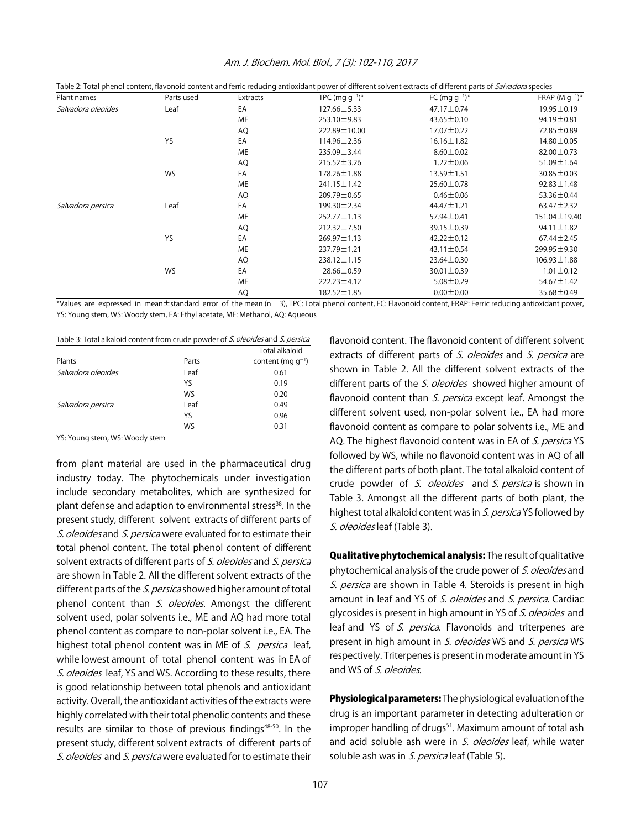| Plant names        | Parts used | Extracts  | TPC (mg $q^{-1}$ )* | FC (mg $q^{-1}$ )* | FRAP $(M q^{-1})^*$ |
|--------------------|------------|-----------|---------------------|--------------------|---------------------|
| Salvadora oleoides | Leaf       | EA        | 127.66 ± 5.33       | $47.17 \pm 0.74$   | 19.95 ± 0.19        |
|                    |            | ME        | 253.10±9.83         | $43.65 \pm 0.10$   | 94.19±0.81          |
|                    |            | AQ        | 222.89 ± 10.00      | $17.07 \pm 0.22$   | 72.85 ± 0.89        |
|                    | <b>YS</b>  | EA        | $114.96 \pm 2.36$   | $16.16 \pm 1.82$   | 14.80±0.05          |
|                    |            | <b>ME</b> | 235.09 ± 3.44       | $8.60 \pm 0.02$    | $82.00 \pm 0.73$    |
|                    |            | AQ        | $215.52 \pm 3.26$   | $1.22 \pm 0.06$    | 51.09±1.64          |
|                    | WS         | EA        | 178.26 ± 1.88       | 13.59 ± 1.51       | $30.85 \pm 0.03$    |
|                    |            | ME        | 241.15 ± 1.42       | $25.60 \pm 0.78$   | $92.83 \pm 1.48$    |
|                    |            | AQ        | 209.79 ± 0.65       | $0.46 \pm 0.06$    | 53.36 ± 0.44        |
| Salvadora persica  | Leaf       | EA        | 199.30±2.34         | $44.47 \pm 1.21$   | $63.47 \pm 2.32$    |
|                    |            | ME        | $252.77 \pm 1.13$   | 57.94±0.41         | $151.04 \pm 19.40$  |
|                    |            | <b>AQ</b> | 212.32±7.50         | 39.15±0.39         | $94.11 \pm 1.82$    |
|                    | <b>YS</b>  | EA        | $269.97 \pm 1.13$   | $42.22 \pm 0.12$   | $67.44 \pm 2.45$    |
|                    |            | ME        | 237.79 ± 1.21       | $43.11 \pm 0.54$   | 299.95±9.30         |
|                    |            | AQ        | 238.12±1.15         | $23.64 \pm 0.30$   | $106.93 \pm 1.88$   |
|                    | WS         | EA        | 28.66±0.59          | $30.01 \pm 0.39$   | $1.01 \pm 0.12$     |
|                    |            | <b>ME</b> | $222.23 \pm 4.12$   | $5.08 \pm 0.29$    | $54.67 \pm 1.42$    |
|                    |            | AQ        | 182.52 ± 1.85       | $0.00 \pm 0.00$    | 35.68 ± 0.49        |

#### Am. J. Biochem. Mol. Biol., 7 (3): 102-110, 2017

Table 2: Total phenol content, flavonoid content and ferric reducing antioxidant power of different solvent extracts of different parts of Salvadora species

\*Values are expressed in mean±standard error of the mean (n = 3), TPC: Total phenol content, FC: Flavonoid content, FRAP: Ferric reducing antioxidant power, YS: Young stem, WS: Woody stem, EA: Ethyl acetate, ME: Methanol, AQ: Aqueous

|                    |       | <b>Total alkaloid</b>  |
|--------------------|-------|------------------------|
| Plants             | Parts | content (mg $q^{-1}$ ) |
| Salvadora oleoides | Leaf  | 0.61                   |
|                    | YS    | 0.19                   |
|                    | WS    | 0.20                   |
| Salvadora persica  | Leaf  | 0.49                   |
|                    | YS    | 0.96                   |
|                    | WS    | 0.31                   |

YS: Young stem, WS: Woody stem

from plant material are used in the pharmaceutical drug industry today. The phytochemicals under investigation include secondary metabolites, which are synthesized for plant defense and adaption to environmental stress<sup>38</sup>. In the present study, different solvent extracts of different parts of S. oleoides and S. persica were evaluated for to estimate their total phenol content. The total phenol content of different solvent extracts of different parts of S. oleoides and S. persica are shown in Table 2. All the different solvent extracts of the different parts of the *S. persica* showed higher amount of total phenol content than S. oleoides. Amongst the different solvent used, polar solvents i.e., ME and AQ had more total phenol content as compare to non-polar solvent i.e., EA. The highest total phenol content was in ME of S. persica leaf, while lowest amount of total phenol content was in EA of S. oleoides leaf, YS and WS. According to these results, there is good relationship between total phenols and antioxidant activity. Overall, the antioxidant activities of the extracts were highly correlated with their total phenolic contents and these results are similar to those of previous findings<sup>48-50</sup>. In the present study, different solvent extracts of different parts of S. oleoides and S. persica were evaluated for to estimate their

flavonoid content. The flavonoid content of different solvent extracts of different parts of S. oleoides and S. persica are shown in Table 2. All the different solvent extracts of the different parts of the *S. oleoides* showed higher amount of flavonoid content than S. persica except leaf. Amongst the different solvent used, non-polar solvent i.e., EA had more flavonoid content as compare to polar solvents i.e., ME and AQ. The highest flavonoid content was in EA of S. persica YS followed by WS, while no flavonoid content was in AQ of all the different parts of both plant. The total alkaloid content of crude powder of S. oleoides and S. persica is shown in Table 3. Amongst all the different parts of both plant, the highest total alkaloid content was in S. persica YS followed by S. oleoides leaf (Table 3).

Qualitative phytochemical analysis: The result of qualitative phytochemical analysis of the crude power of S. oleoides and S. persica are shown in Table 4. Steroids is present in high amount in leaf and YS of S. oleoides and S. persica. Cardiac glycosides is present in high amount in YS of S. oleoides and leaf and YS of S. persica. Flavonoids and triterpenes are present in high amount in S. oleoides WS and S. persica WS respectively. Triterpenes is present in moderate amount in YS and WS of S. oleoides.

**Physiological parameters:** The physiological evaluation of the drug is an important parameter in detecting adulteration or improper handling of drugs<sup>51</sup>. Maximum amount of total ash and acid soluble ash were in S. oleoides leaf, while water soluble ash was in S. persica leaf (Table 5).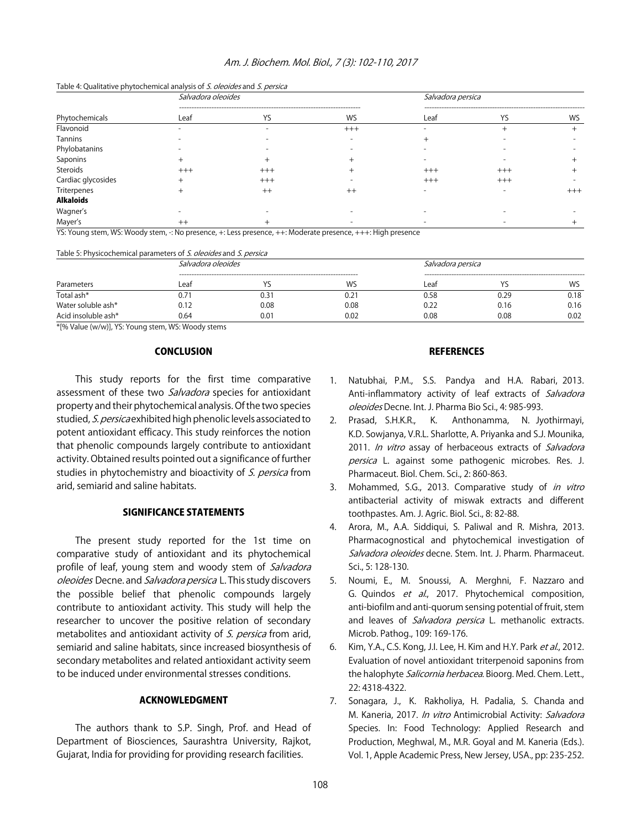#### Am. J. Biochem. Mol. Biol., 7 (3): 102-110, 2017

#### Table 4: Qualitative phytochemical analysis of S. oleoides and S. persica

|                    | Salvadora oleoides |         | Salvadora persica |          |          |       |
|--------------------|--------------------|---------|-------------------|----------|----------|-------|
| Phytochemicals     | Leaf               | YS      | WS                | Leaf     | YS       | WS    |
| Flavonoid          |                    |         | $+++$             |          |          |       |
| Tannins            |                    |         |                   |          |          |       |
| Phylobatanins      |                    |         |                   |          |          |       |
| Saponins           |                    |         |                   |          |          |       |
| Steroids           | $+++$              | $+++$   |                   | $^{+++}$ | $^{+++}$ |       |
| Cardiac glycosides |                    | $+++$   |                   | $^{+++}$ | $+++$    |       |
| Triterpenes        |                    | $^{++}$ | $^{++}$           |          |          | $+++$ |
| <b>Alkaloids</b>   |                    |         |                   |          |          |       |
| Wagner's           |                    |         |                   |          |          |       |
| Mayer's            | $^{\mathrm{++}}$   |         |                   |          |          |       |

YS: Young stem, WS: Woody stem, -: No presence, +: Less presence, ++: Moderate presence, +++: High presence

#### Table 5: Physicochemical parameters of S. oleoides and S. persica

| Parameters          | Salvadora oleoides |      | Salvadora persica |      |      |      |
|---------------------|--------------------|------|-------------------|------|------|------|
|                     | Leaf               |      | WS                | Leaf |      | WS   |
| Total ash*          | J.71               | 0.31 | 0.21              | 0.58 | 0.29 | 0.18 |
| Water soluble ash*  | 0.12               | 0.08 | 0.08              | 0.22 | 0.16 | 0.16 |
| Acid insoluble ash* | 0.64               | 0.01 | 0.02              | 0.08 | 0.08 | 0.02 |

\*[% Value (w/w)], YS: Young stem, WS: Woody stems

#### **CONCLUSION**

This study reports for the first time comparative assessment of these two *Salvadora* species for antioxidant property and their phytochemical analysis. Of the two species studied, S. persica exhibited high phenolic levels associated to potent antioxidant efficacy. This study reinforces the notion that phenolic compounds largely contribute to antioxidant activity. Obtained results pointed out a significance of further studies in phytochemistry and bioactivity of S. persica from arid, semiarid and saline habitats.

#### SIGNIFICANCE STATEMENTS

The present study reported for the 1st time on comparative study of antioxidant and its phytochemical profile of leaf, young stem and woody stem of Salvadora oleoides Decne. and Salvadora persica L. This study discovers the possible belief that phenolic compounds largely contribute to antioxidant activity. This study will help the researcher to uncover the positive relation of secondary metabolites and antioxidant activity of S. persica from arid, semiarid and saline habitats, since increased biosynthesis of secondary metabolites and related antioxidant activity seem to be induced under environmental stresses conditions.

#### ACKNOWLEDGMENT

The authors thank to S.P. Singh, Prof. and Head of Department of Biosciences, Saurashtra University, Rajkot, Gujarat, India for providing for providing research facilities.

#### **REFERENCES**

- 1. Natubhai, P.M., S.S. Pandya and H.A. Rabari, 2013. Anti-inflammatory activity of leaf extracts of Salvadora oleoides Decne. Int. J. Pharma Bio Sci., 4: 985-993.
- 2. Prasad, S.H.K.R., K. Anthonamma, N. Jyothirmayi, K.D. Sowjanya, V.R.L. Sharlotte, A. Priyanka and S.J. Mounika, 2011. In vitro assay of herbaceous extracts of Salvadora persica L. against some pathogenic microbes. Res. J. Pharmaceut. Biol. Chem. Sci., 2: 860-863.
- 3. Mohammed, S.G., 2013. Comparative study of in vitro antibacterial activity of miswak extracts and different toothpastes. Am. J. Agric. Biol. Sci., 8: 82-88.
- 4. Arora, M., A.A. Siddiqui, S. Paliwal and R. Mishra, 2013. Pharmacognostical and phytochemical investigation of Salvadora oleoides decne. Stem. Int. J. Pharm. Pharmaceut. Sci., 5: 128-130.
- 5. Noumi, E., M. Snoussi, A. Merghni, F. Nazzaro and G. Quindos et al., 2017. Phytochemical composition, anti-biofilm and anti-quorum sensing potential of fruit, stem and leaves of Salvadora persica L. methanolic extracts. Microb. Pathog., 109: 169-176.
- 6. Kim, Y.A., C.S. Kong, J.I. Lee, H. Kim and H.Y. Park et al., 2012. Evaluation of novel antioxidant triterpenoid saponins from the halophyte Salicornia herbacea. Bioorg. Med. Chem. Lett., 22: 4318-4322.
- 7. Sonagara, J., K. Rakholiya, H. Padalia, S. Chanda and M. Kaneria, 2017. In vitro Antimicrobial Activity: Salvadora Species. In: Food Technology: Applied Research and Production, Meghwal, M., M.R. Goyal and M. Kaneria (Eds.). Vol. 1, Apple Academic Press, New Jersey, USA., pp: 235-252.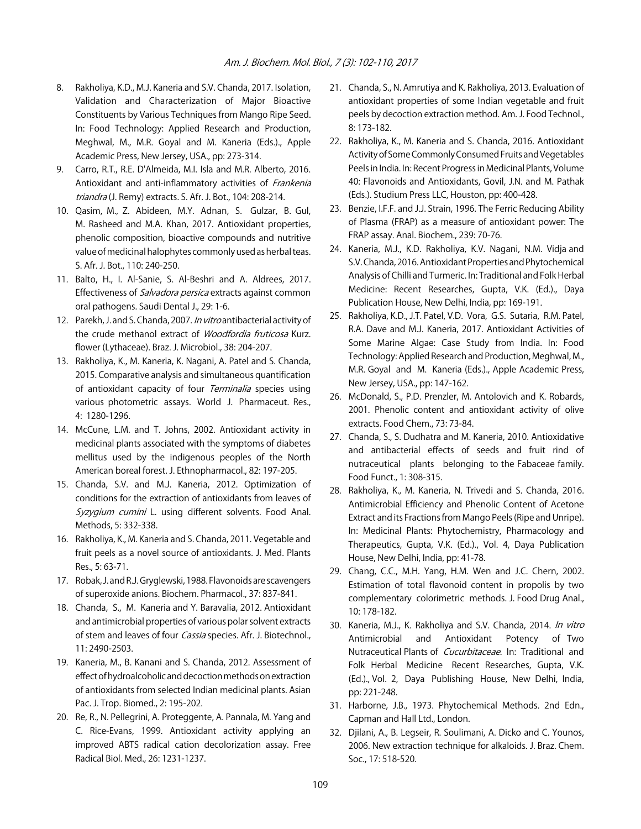- 8. Rakholiya, K.D., M.J. Kaneria and S.V. Chanda, 2017. Isolation, Validation and Characterization of Major Bioactive Constituents by Various Techniques from Mango Ripe Seed. In: Food Technology: Applied Research and Production, Meghwal, M., M.R. Goyal and M. Kaneria (Eds.)., Apple Academic Press, New Jersey, USA., pp: 273-314.
- 9. Carro, R.T., R.E. D'Almeida, M.I. Isla and M.R. Alberto, 2016. Antioxidant and anti-inflammatory activities of Frankenia triandra (J. Remy) extracts. S. Afr. J. Bot., 104: 208-214.
- 10. Qasim, M., Z. Abideen, M.Y. Adnan, S. Gulzar, B. Gul, M. Rasheed and M.A. Khan, 2017. Antioxidant properties, phenolic composition, bioactive compounds and nutritive value of medicinal halophytes commonly used as herbal teas. S. Afr. J. Bot., 110: 240-250.
- 11. Balto, H., I. Al-Sanie, S. Al-Beshri and A. Aldrees, 2017. Effectiveness of Salvadora persica extracts against common oral pathogens. Saudi Dental J., 29: 1-6.
- 12. Parekh, J. and S. Chanda, 2007. In vitro antibacterial activity of the crude methanol extract of Woodfordia fruticosa Kurz. flower (Lythaceae). Braz. J. Microbiol., 38: 204-207.
- 13. Rakholiya, K., M. Kaneria, K. Nagani, A. Patel and S. Chanda, 2015. Comparative analysis and simultaneous quantification of antioxidant capacity of four *Terminalia* species using various photometric assays. World J. Pharmaceut. Res., 4: 1280-1296.
- 14. McCune, L.M. and T. Johns, 2002. Antioxidant activity in medicinal plants associated with the symptoms of diabetes mellitus used by the indigenous peoples of the North American boreal forest. J. Ethnopharmacol., 82: 197-205.
- 15. Chanda, S.V. and M.J. Kaneria, 2012. Optimization of conditions for the extraction of antioxidants from leaves of Syzygium cumini L. using different solvents. Food Anal. Methods, 5: 332-338.
- 16. Rakholiya, K., M. Kaneria and S. Chanda, 2011. Vegetable and fruit peels as a novel source of antioxidants. J. Med. Plants Res., 5: 63-71.
- 17. Robak, J. and R.J. Gryglewski, 1988. Flavonoids are scavengers of superoxide anions. Biochem. Pharmacol., 37: 837-841.
- 18. Chanda, S., M. Kaneria and Y. Baravalia, 2012. Antioxidant and antimicrobial properties of various polar solvent extracts of stem and leaves of four *Cassia* species. Afr. J. Biotechnol., 11: 2490-2503.
- 19. Kaneria, M., B. Kanani and S. Chanda, 2012. Assessment of effect of hydroalcoholic and decoction methods on extraction of antioxidants from selected Indian medicinal plants. Asian Pac. J. Trop. Biomed., 2: 195-202.
- 20. Re, R., N. Pellegrini, A. Proteggente, A. Pannala, M. Yang and C. Rice-Evans, 1999. Antioxidant activity applying an improved ABTS radical cation decolorization assay. Free Radical Biol. Med., 26: 1231-1237.
- 21. Chanda, S., N. Amrutiya and K. Rakholiya, 2013. Evaluation of antioxidant properties of some Indian vegetable and fruit peels by decoction extraction method. Am. J. Food Technol., 8: 173-182.
- 22. Rakholiya, K., M. Kaneria and S. Chanda, 2016. Antioxidant Activity of Some Commonly Consumed Fruits and Vegetables Peels in India. In: Recent Progress in Medicinal Plants, Volume 40: Flavonoids and Antioxidants, Govil, J.N. and M. Pathak (Eds.). Studium Press LLC, Houston, pp: 400-428.
- 23. Benzie, I.F.F. and J.J. Strain, 1996. The Ferric Reducing Ability of Plasma (FRAP) as a measure of antioxidant power: The FRAP assay. Anal. Biochem., 239: 70-76.
- 24. Kaneria, M.J., K.D. Rakholiya, K.V. Nagani, N.M. Vidja and S.V. Chanda, 2016. Antioxidant Properties and Phytochemical Analysis of Chilli and Turmeric. In: Traditional and Folk Herbal Medicine: Recent Researches, Gupta, V.K. (Ed.)., Daya Publication House, New Delhi, India, pp: 169-191.
- 25. Rakholiya, K.D., J.T. Patel, V.D. Vora, G.S. Sutaria, R.M. Patel, R.A. Dave and M.J. Kaneria, 2017. Antioxidant Activities of Some Marine Algae: Case Study from India. In: Food Technology: Applied Research and Production, Meghwal, M., M.R. Goyal and M. Kaneria (Eds.)., Apple Academic Press, New Jersey, USA., pp: 147-162.
- 26. McDonald, S., P.D. Prenzler, M. Antolovich and K. Robards, 2001. Phenolic content and antioxidant activity of olive extracts. Food Chem., 73: 73-84.
- 27. Chanda, S., S. Dudhatra and M. Kaneria, 2010. Antioxidative and antibacterial effects of seeds and fruit rind of nutraceutical plants belonging to the Fabaceae family. Food Funct., 1: 308-315.
- 28. Rakholiya, K., M. Kaneria, N. Trivedi and S. Chanda, 2016. Antimicrobial Efficiency and Phenolic Content of Acetone Extract and its Fractions from Mango Peels (Ripe and Unripe). In: Medicinal Plants: Phytochemistry, Pharmacology and Therapeutics, Gupta, V.K. (Ed.)., Vol. 4, Daya Publication House, New Delhi, India, pp: 41-78.
- 29. Chang, C.C., M.H. Yang, H.M. Wen and J.C. Chern, 2002. Estimation of total flavonoid content in propolis by two complementary colorimetric methods. J. Food Drug Anal., 10: 178-182.
- 30. Kaneria, M.J., K. Rakholiya and S.V. Chanda, 2014. In vitro Antimicrobial and Antioxidant Potency of Two Nutraceutical Plants of *Cucurbitaceae*. In: Traditional and Folk Herbal Medicine Recent Researches, Gupta, V.K. (Ed.)., Vol. 2, Daya Publishing House, New Delhi, India, pp: 221-248.
- 31. Harborne, J.B., 1973. Phytochemical Methods. 2nd Edn., Capman and Hall Ltd., London.
- 32. Djilani, A., B. Legseir, R. Soulimani, A. Dicko and C. Younos, 2006. New extraction technique for alkaloids. J. Braz. Chem. Soc., 17: 518-520.